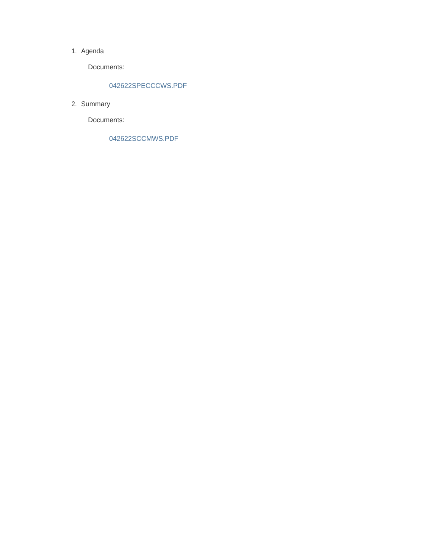#### 1. Agenda

Documents:

#### 042622SPECCCWS.PDF

2. Summary

Documents:

042622SCCMWS.PDF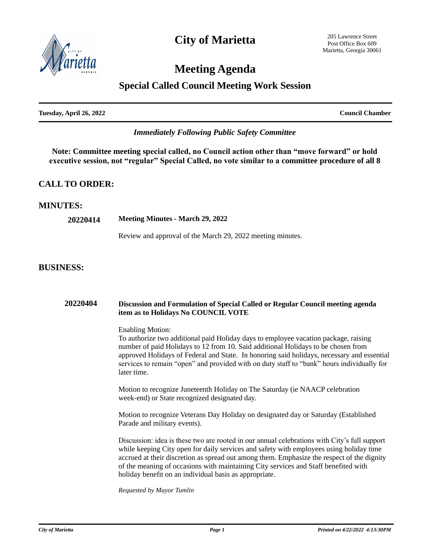

## **Meeting Agenda**

### **Special Called Council Meeting Work Session**

| <b>Fuesday, April 26, 2022</b> |  |  |
|--------------------------------|--|--|

**Council Chamber** 

### *Immediately Following Public Safety Committee*

**Note: Committee meeting special called, no Council action other than "move forward" or hold executive session, not "regular" Special Called, no vote similar to a committee procedure of all 8**

### **CALL TO ORDER:**

#### **MINUTES:**

| 20220414 | <b>Meeting Minutes - March 29, 2022</b>                    |  |  |
|----------|------------------------------------------------------------|--|--|
|          | Review and approval of the March 29, 2022 meeting minutes. |  |  |

#### **BUSINESS:**

| 20220404 | Discussion and Formulation of Special Called or Regular Council meeting agenda<br>item as to Holidays No COUNCIL VOTE                                                                                                                                                                                                                                                                                                                  |  |  |
|----------|----------------------------------------------------------------------------------------------------------------------------------------------------------------------------------------------------------------------------------------------------------------------------------------------------------------------------------------------------------------------------------------------------------------------------------------|--|--|
|          | <b>Enabling Motion:</b><br>To authorize two additional paid Holiday days to employee vacation package, raising<br>number of paid Holidays to 12 from 10. Said additional Holidays to be chosen from<br>approved Holidays of Federal and State. In honoring said holidays, necessary and essential<br>services to remain "open" and provided with on duty staff to "bank" hours individually for<br>later time.                         |  |  |
|          | Motion to recognize Juneteenth Holiday on The Saturday (ie NAACP celebration<br>week-end) or State recognized designated day.                                                                                                                                                                                                                                                                                                          |  |  |
|          | Motion to recognize Veterans Day Holiday on designated day or Saturday (Established<br>Parade and military events).                                                                                                                                                                                                                                                                                                                    |  |  |
|          | Discussion: idea is these two are rooted in our annual celebrations with City's full support<br>while keeping City open for daily services and safety with employees using holiday time<br>accrued at their discretion as spread out among them. Emphasize the respect of the dignity<br>of the meaning of occasions with maintaining City services and Staff benefited with<br>holiday benefit on an individual basis as appropriate. |  |  |
|          | Requested by Mayor Tumlin                                                                                                                                                                                                                                                                                                                                                                                                              |  |  |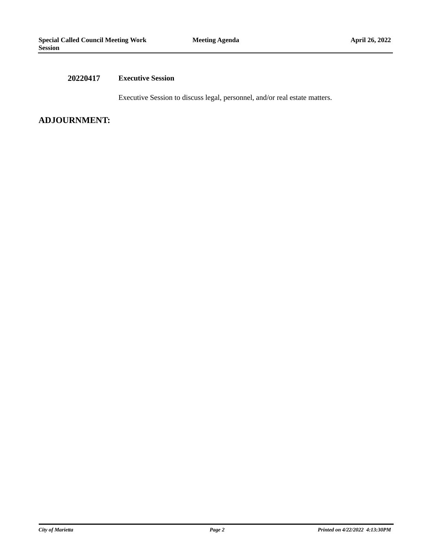#### **20220417 Executive Session**

Executive Session to discuss legal, personnel, and/or real estate matters.

#### **ADJOURNMENT:**